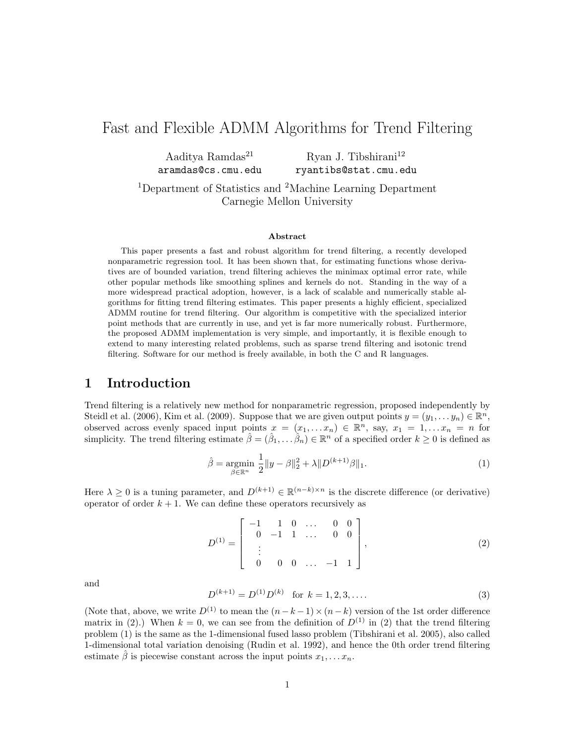# Fast and Flexible ADMM Algorithms for Trend Filtering

| Aaditya Ramdas <sup>21</sup> | Ryan J. Tibshirani $^{12}$ |
|------------------------------|----------------------------|
| aramdas@cs.cmu.edu           | ryantibs@stat.cmu.edu      |

<sup>1</sup>Department of Statistics and <sup>2</sup>Machine Learning Department Carnegie Mellon University

#### Abstract

This paper presents a fast and robust algorithm for trend filtering, a recently developed nonparametric regression tool. It has been shown that, for estimating functions whose derivatives are of bounded variation, trend filtering achieves the minimax optimal error rate, while other popular methods like smoothing splines and kernels do not. Standing in the way of a more widespread practical adoption, however, is a lack of scalable and numerically stable algorithms for fitting trend filtering estimates. This paper presents a highly efficient, specialized ADMM routine for trend filtering. Our algorithm is competitive with the specialized interior point methods that are currently in use, and yet is far more numerically robust. Furthermore, the proposed ADMM implementation is very simple, and importantly, it is flexible enough to extend to many interesting related problems, such as sparse trend filtering and isotonic trend filtering. Software for our method is freely available, in both the C and R languages.

## 1 Introduction

Trend filtering is a relatively new method for nonparametric regression, proposed independently by Steidl et al. (2006), Kim et al. (2009). Suppose that we are given output points  $y = (y_1, \ldots, y_n) \in \mathbb{R}^n$ , observed across evenly spaced input points  $x = (x_1, \ldots, x_n) \in \mathbb{R}^n$ , say,  $x_1 = 1, \ldots, x_n = n$  for simplicity. The trend filtering estimate  $\hat{\beta} = (\hat{\beta}_1, \dots, \hat{\beta}_n) \in \mathbb{R}^n$  of a specified order  $k \geq 0$  is defined as

$$
\hat{\beta} = \underset{\beta \in \mathbb{R}^n}{\text{argmin}} \ \frac{1}{2} \|y - \beta\|_2^2 + \lambda \|D^{(k+1)}\beta\|_1. \tag{1}
$$

Here  $\lambda \geq 0$  is a tuning parameter, and  $D^{(k+1)} \in \mathbb{R}^{(n-k)\times n}$  is the discrete difference (or derivative) operator of order  $k + 1$ . We can define these operators recursively as

$$
D^{(1)} = \begin{bmatrix} -1 & 1 & 0 & \dots & 0 & 0 \\ 0 & -1 & 1 & \dots & 0 & 0 \\ \vdots & & & & \\ 0 & 0 & 0 & \dots & -1 & 1 \end{bmatrix}, \tag{2}
$$

and

$$
D^{(k+1)} = D^{(1)}D^{(k)} \quad \text{for } k = 1, 2, 3, \dots
$$
 (3)

(Note that, above, we write  $D^{(1)}$  to mean the  $(n-k-1)\times(n-k)$  version of the 1st order difference matrix in (2).) When  $k = 0$ , we can see from the definition of  $D^{(1)}$  in (2) that the trend filtering problem (1) is the same as the 1-dimensional fused lasso problem (Tibshirani et al. 2005), also called 1-dimensional total variation denoising (Rudin et al. 1992), and hence the 0th order trend filtering estimate  $\hat{\beta}$  is piecewise constant across the input points  $x_1, \ldots x_n$ .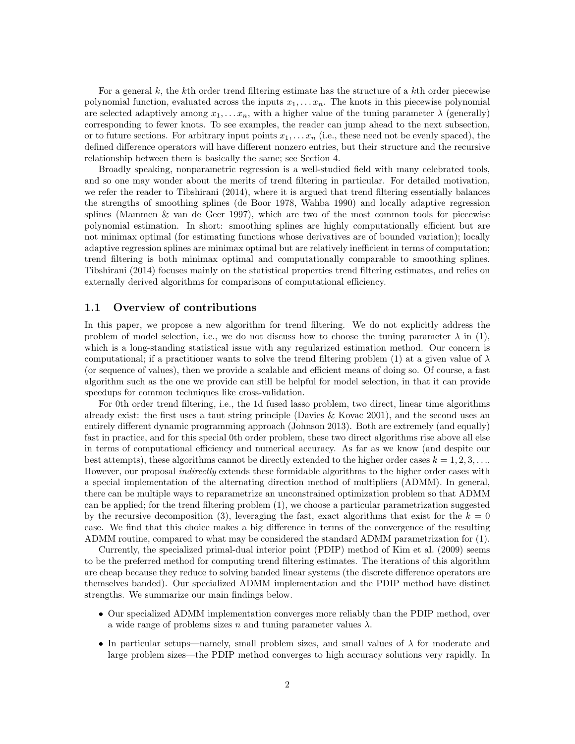For a general  $k$ , the kth order trend filtering estimate has the structure of a kth order piecewise polynomial function, evaluated across the inputs  $x_1, \ldots, x_n$ . The knots in this piecewise polynomial are selected adaptively among  $x_1, \ldots, x_n$ , with a higher value of the tuning parameter  $\lambda$  (generally) corresponding to fewer knots. To see examples, the reader can jump ahead to the next subsection, or to future sections. For arbitrary input points  $x_1, \ldots, x_n$  (i.e., these need not be evenly spaced), the defined difference operators will have different nonzero entries, but their structure and the recursive relationship between them is basically the same; see Section 4.

Broadly speaking, nonparametric regression is a well-studied field with many celebrated tools, and so one may wonder about the merits of trend filtering in particular. For detailed motivation, we refer the reader to Tibshirani (2014), where it is argued that trend filtering essentially balances the strengths of smoothing splines (de Boor 1978, Wahba 1990) and locally adaptive regression splines (Mammen & van de Geer 1997), which are two of the most common tools for piecewise polynomial estimation. In short: smoothing splines are highly computationally efficient but are not minimax optimal (for estimating functions whose derivatives are of bounded variation); locally adaptive regression splines are minimax optimal but are relatively inefficient in terms of computation; trend filtering is both minimax optimal and computationally comparable to smoothing splines. Tibshirani (2014) focuses mainly on the statistical properties trend filtering estimates, and relies on externally derived algorithms for comparisons of computational efficiency.

### 1.1 Overview of contributions

In this paper, we propose a new algorithm for trend filtering. We do not explicitly address the problem of model selection, i.e., we do not discuss how to choose the tuning parameter  $\lambda$  in (1), which is a long-standing statistical issue with any regularized estimation method. Our concern is computational; if a practitioner wants to solve the trend filtering problem (1) at a given value of  $\lambda$ (or sequence of values), then we provide a scalable and efficient means of doing so. Of course, a fast algorithm such as the one we provide can still be helpful for model selection, in that it can provide speedups for common techniques like cross-validation.

For 0th order trend filtering, i.e., the 1d fused lasso problem, two direct, linear time algorithms already exist: the first uses a taut string principle (Davies  $\&$  Kovac 2001), and the second uses an entirely different dynamic programming approach (Johnson 2013). Both are extremely (and equally) fast in practice, and for this special 0th order problem, these two direct algorithms rise above all else in terms of computational efficiency and numerical accuracy. As far as we know (and despite our best attempts), these algorithms cannot be directly extended to the higher order cases  $k = 1, 2, 3, \ldots$ However, our proposal *indirectly* extends these formidable algorithms to the higher order cases with a special implementation of the alternating direction method of multipliers (ADMM). In general, there can be multiple ways to reparametrize an unconstrained optimization problem so that ADMM can be applied; for the trend filtering problem (1), we choose a particular parametrization suggested by the recursive decomposition (3), leveraging the fast, exact algorithms that exist for the  $k = 0$ case. We find that this choice makes a big difference in terms of the convergence of the resulting ADMM routine, compared to what may be considered the standard ADMM parametrization for (1).

Currently, the specialized primal-dual interior point (PDIP) method of Kim et al. (2009) seems to be the preferred method for computing trend filtering estimates. The iterations of this algorithm are cheap because they reduce to solving banded linear systems (the discrete difference operators are themselves banded). Our specialized ADMM implementation and the PDIP method have distinct strengths. We summarize our main findings below.

- Our specialized ADMM implementation converges more reliably than the PDIP method, over a wide range of problems sizes n and tuning parameter values  $\lambda$ .
- In particular setups—namely, small problem sizes, and small values of  $\lambda$  for moderate and large problem sizes—the PDIP method converges to high accuracy solutions very rapidly. In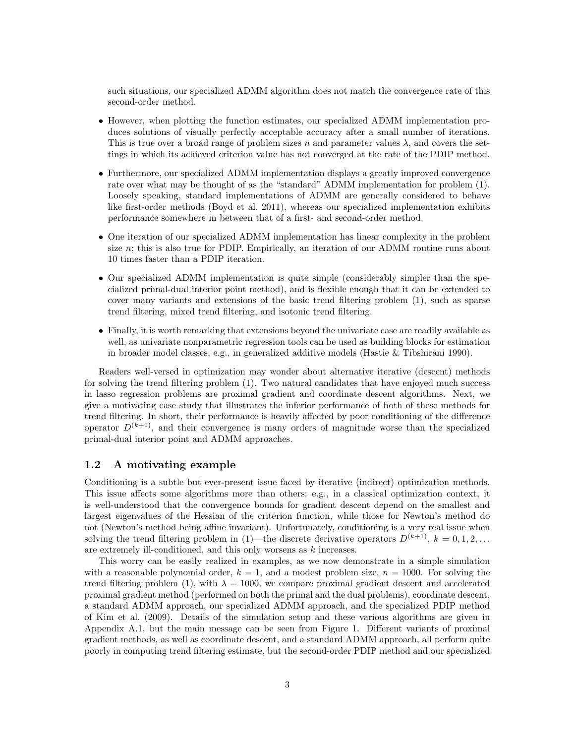such situations, our specialized ADMM algorithm does not match the convergence rate of this second-order method.

- However, when plotting the function estimates, our specialized ADMM implementation produces solutions of visually perfectly acceptable accuracy after a small number of iterations. This is true over a broad range of problem sizes n and parameter values  $\lambda$ , and covers the settings in which its achieved criterion value has not converged at the rate of the PDIP method.
- Furthermore, our specialized ADMM implementation displays a greatly improved convergence rate over what may be thought of as the "standard" ADMM implementation for problem (1). Loosely speaking, standard implementations of ADMM are generally considered to behave like first-order methods (Boyd et al. 2011), whereas our specialized implementation exhibits performance somewhere in between that of a first- and second-order method.
- One iteration of our specialized ADMM implementation has linear complexity in the problem size  $n$ ; this is also true for PDIP. Empirically, an iteration of our ADMM routine runs about 10 times faster than a PDIP iteration.
- Our specialized ADMM implementation is quite simple (considerably simpler than the specialized primal-dual interior point method), and is flexible enough that it can be extended to cover many variants and extensions of the basic trend filtering problem (1), such as sparse trend filtering, mixed trend filtering, and isotonic trend filtering.
- Finally, it is worth remarking that extensions beyond the univariate case are readily available as well, as univariate nonparametric regression tools can be used as building blocks for estimation in broader model classes, e.g., in generalized additive models (Hastie & Tibshirani 1990).

Readers well-versed in optimization may wonder about alternative iterative (descent) methods for solving the trend filtering problem (1). Two natural candidates that have enjoyed much success in lasso regression problems are proximal gradient and coordinate descent algorithms. Next, we give a motivating case study that illustrates the inferior performance of both of these methods for trend filtering. In short, their performance is heavily affected by poor conditioning of the difference operator  $D^{(k+1)}$ , and their convergence is many orders of magnitude worse than the specialized primal-dual interior point and ADMM approaches.

## 1.2 A motivating example

Conditioning is a subtle but ever-present issue faced by iterative (indirect) optimization methods. This issue affects some algorithms more than others; e.g., in a classical optimization context, it is well-understood that the convergence bounds for gradient descent depend on the smallest and largest eigenvalues of the Hessian of the criterion function, while those for Newton's method do not (Newton's method being affine invariant). Unfortunately, conditioning is a very real issue when solving the trend filtering problem in (1)—the discrete derivative operators  $D^{(k+1)}$ ,  $k = 0, 1, 2, ...$ are extremely ill-conditioned, and this only worsens as k increases.

This worry can be easily realized in examples, as we now demonstrate in a simple simulation with a reasonable polynomial order,  $k = 1$ , and a modest problem size,  $n = 1000$ . For solving the trend filtering problem (1), with  $\lambda = 1000$ , we compare proximal gradient descent and accelerated proximal gradient method (performed on both the primal and the dual problems), coordinate descent, a standard ADMM approach, our specialized ADMM approach, and the specialized PDIP method of Kim et al. (2009). Details of the simulation setup and these various algorithms are given in Appendix A.1, but the main message can be seen from Figure 1. Different variants of proximal gradient methods, as well as coordinate descent, and a standard ADMM approach, all perform quite poorly in computing trend filtering estimate, but the second-order PDIP method and our specialized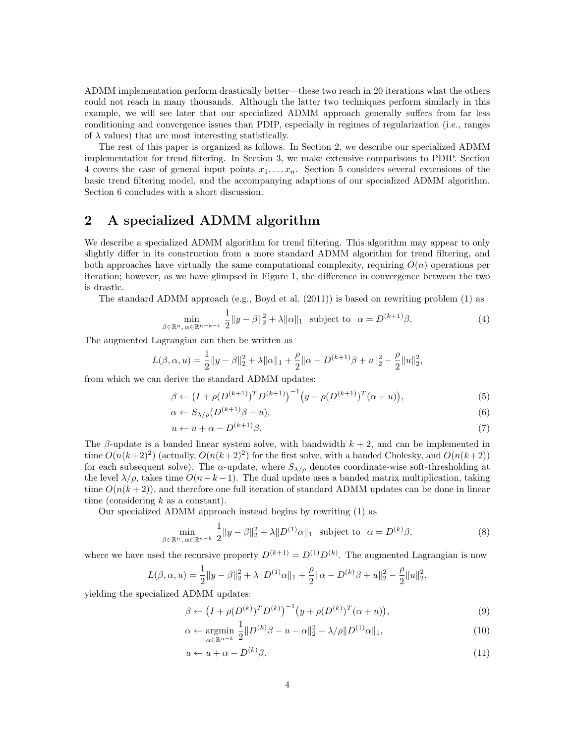ADMM implementation perform drastically better—these two reach in 20 iterations what the others could not reach in many thousands. Although the latter two techniques perform similarly in this example, we will see later that our specialized ADMM approach generally suffers from far less conditioning and convergence issues than PDIP, especially in regimes of regularization (i.e., ranges of  $\lambda$  values) that are most interesting statistically.

The rest of this paper is organized as follows. In Section 2, we describe our specialized ADMM implementation for trend filtering. In Section 3, we make extensive comparisons to PDIP. Section 4 covers the case of general input points  $x_1, \ldots, x_n$ . Section 5 considers several extensions of the basic trend filtering model, and the accompanying adaptions of our specialized ADMM algorithm. Section 6 concludes with a short discussion.

# 2 A specialized ADMM algorithm

We describe a specialized ADMM algorithm for trend filtering. This algorithm may appear to only slightly differ in its construction from a more standard ADMM algorithm for trend filtering, and both approaches have virtually the same computational complexity, requiring  $O(n)$  operations per iteration; however, as we have glimpsed in Figure 1, the difference in convergence between the two is drastic.

The standard ADMM approach (e.g., Boyd et al. (2011)) is based on rewriting problem (1) as

$$
\min_{\beta \in \mathbb{R}^n, \alpha \in \mathbb{R}^{n-k-1}} \frac{1}{2} \|y - \beta\|_2^2 + \lambda \|\alpha\|_1 \quad \text{subject to} \quad \alpha = D^{(k+1)}\beta. \tag{4}
$$

The augmented Lagrangian can then be written as

$$
L(\beta, \alpha, u) = \frac{1}{2} ||y - \beta||_2^2 + \lambda ||\alpha||_1 + \frac{\rho}{2} ||\alpha - D^{(k+1)}\beta + u||_2^2 - \frac{\rho}{2} ||u||_2^2,
$$

from which we can derive the standard ADMM updates:

$$
\beta \leftarrow (I + \rho(D^{(k+1)})^T D^{(k+1)})^{-1} (y + \rho(D^{(k+1)})^T (\alpha + u)), \tag{5}
$$

$$
\alpha \leftarrow S_{\lambda/\rho}(D^{(k+1)}\beta - u),\tag{6}
$$

$$
u \leftarrow u + \alpha - D^{(k+1)}\beta. \tag{7}
$$

The β-update is a banded linear system solve, with bandwidth  $k + 2$ , and can be implemented in time  $O(n(k+2)^2)$  (actually,  $O(n(k+2)^2)$  for the first solve, with a banded Cholesky, and  $O(n(k+2))$ ) for each subsequent solve). The  $\alpha$ -update, where  $S_{\lambda/\rho}$  denotes coordinate-wise soft-thresholding at the level  $\lambda/\rho$ , takes time  $O(n-k-1)$ . The dual update uses a banded matrix multiplication, taking time  $O(n(k+2))$ , and therefore one full iteration of standard ADMM updates can be done in linear time (considering  $k$  as a constant).

Our specialized ADMM approach instead begins by rewriting (1) as

$$
\min_{\beta \in \mathbb{R}^n, \alpha \in \mathbb{R}^{n-k}} \frac{1}{2} \|y - \beta\|_2^2 + \lambda \|D^{(1)}\alpha\|_1 \text{ subject to } \alpha = D^{(k)}\beta,
$$
\n
$$
(8)
$$

where we have used the recursive property  $D^{(k+1)} = D^{(1)}D^{(k)}$ . The augmented Lagrangian is now

$$
L(\beta, \alpha, u) = \frac{1}{2} ||y - \beta||_2^2 + \lambda ||D^{(1)}\alpha||_1 + \frac{\rho}{2} ||\alpha - D^{(k)}\beta + u||_2^2 - \frac{\rho}{2} ||u||_2^2
$$

yielding the specialized ADMM updates:

$$
\beta \leftarrow (I + \rho(D^{(k)})^T D^{(k)})^{-1} (y + \rho(D^{(k)})^T (\alpha + u)), \tag{9}
$$

,

$$
\alpha \leftarrow \underset{\alpha \in \mathbb{R}^{n-k}}{\text{argmin}} \frac{1}{2} \| D^{(k)} \beta - u - \alpha \|_{2}^{2} + \lambda / \rho \| D^{(1)} \alpha \|_{1}, \tag{10}
$$

$$
u \leftarrow u + \alpha - D^{(k)}\beta. \tag{11}
$$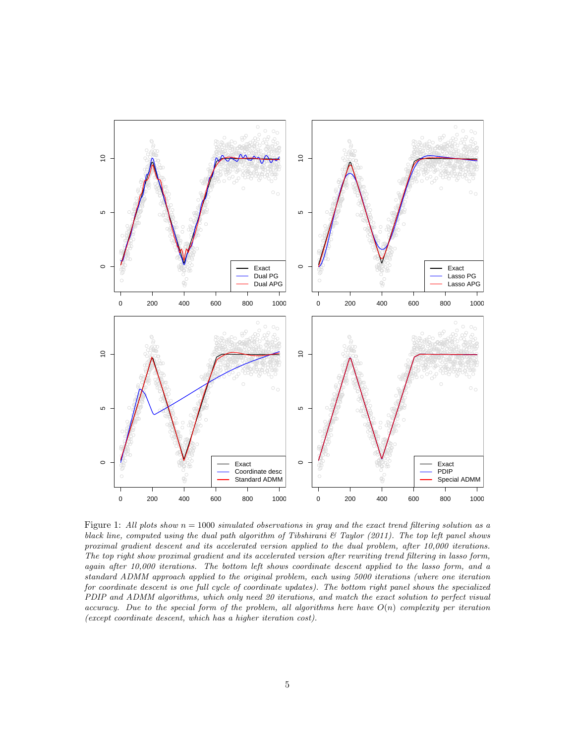

Figure 1: All plots show  $n = 1000$  simulated observations in gray and the exact trend filtering solution as a black line, computed using the dual path algorithm of Tibshirani  $\mathcal C$  Taylor (2011). The top left panel shows proximal gradient descent and its accelerated version applied to the dual problem, after 10,000 iterations. The top right show proximal gradient and its accelerated version after rewriting trend filtering in lasso form, again after 10,000 iterations. The bottom left shows coordinate descent applied to the lasso form, and a standard ADMM approach applied to the original problem, each using 5000 iterations (where one iteration for coordinate descent is one full cycle of coordinate updates). The bottom right panel shows the specialized PDIP and ADMM algorithms, which only need 20 iterations, and match the exact solution to perfect visual accuracy. Due to the special form of the problem, all algorithms here have  $O(n)$  complexity per iteration (except coordinate descent, which has a higher iteration cost).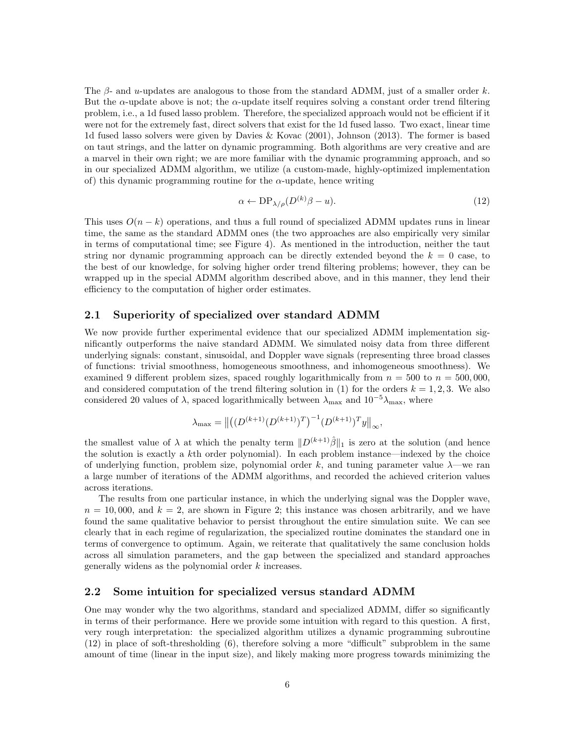The  $\beta$ - and u-updates are analogous to those from the standard ADMM, just of a smaller order k. But the  $\alpha$ -update above is not; the  $\alpha$ -update itself requires solving a constant order trend filtering problem, i.e., a 1d fused lasso problem. Therefore, the specialized approach would not be efficient if it were not for the extremely fast, direct solvers that exist for the 1d fused lasso. Two exact, linear time 1d fused lasso solvers were given by Davies & Kovac (2001), Johnson (2013). The former is based on taut strings, and the latter on dynamic programming. Both algorithms are very creative and are a marvel in their own right; we are more familiar with the dynamic programming approach, and so in our specialized ADMM algorithm, we utilize (a custom-made, highly-optimized implementation of) this dynamic programming routine for the  $\alpha$ -update, hence writing

$$
\alpha \leftarrow \text{DP}_{\lambda/\rho}(D^{(k)}\beta - u). \tag{12}
$$

This uses  $O(n-k)$  operations, and thus a full round of specialized ADMM updates runs in linear time, the same as the standard ADMM ones (the two approaches are also empirically very similar in terms of computational time; see Figure 4). As mentioned in the introduction, neither the taut string nor dynamic programming approach can be directly extended beyond the  $k = 0$  case, to the best of our knowledge, for solving higher order trend filtering problems; however, they can be wrapped up in the special ADMM algorithm described above, and in this manner, they lend their efficiency to the computation of higher order estimates.

### 2.1 Superiority of specialized over standard ADMM

We now provide further experimental evidence that our specialized ADMM implementation significantly outperforms the naive standard ADMM. We simulated noisy data from three different underlying signals: constant, sinusoidal, and Doppler wave signals (representing three broad classes of functions: trivial smoothness, homogeneous smoothness, and inhomogeneous smoothness). We examined 9 different problem sizes, spaced roughly logarithmically from  $n = 500$  to  $n = 500,000$ , and considered computation of the trend filtering solution in (1) for the orders  $k = 1, 2, 3$ . We also considered 20 values of  $\lambda$ , spaced logarithmically between  $\lambda_{\text{max}}$  and  $10^{-5}\lambda_{\text{max}}$ , where

$$
\lambda_{\max} = \left\| \left( (D^{(k+1)}(D^{(k+1)})^T)^{-1} (D^{(k+1)})^T y \right\|_{\infty},\right\|
$$

the smallest value of  $\lambda$  at which the penalty term  $||D^{(k+1)}\hat{\beta}||_1$  is zero at the solution (and hence the solution is exactly a kth order polynomial). In each problem instance—indexed by the choice of underlying function, problem size, polynomial order k, and tuning parameter value  $\lambda$ —we ran a large number of iterations of the ADMM algorithms, and recorded the achieved criterion values across iterations.

The results from one particular instance, in which the underlying signal was the Doppler wave,  $n = 10,000$ , and  $k = 2$ , are shown in Figure 2; this instance was chosen arbitrarily, and we have found the same qualitative behavior to persist throughout the entire simulation suite. We can see clearly that in each regime of regularization, the specialized routine dominates the standard one in terms of convergence to optimum. Again, we reiterate that qualitatively the same conclusion holds across all simulation parameters, and the gap between the specialized and standard approaches generally widens as the polynomial order k increases.

### 2.2 Some intuition for specialized versus standard ADMM

One may wonder why the two algorithms, standard and specialized ADMM, differ so significantly in terms of their performance. Here we provide some intuition with regard to this question. A first, very rough interpretation: the specialized algorithm utilizes a dynamic programming subroutine (12) in place of soft-thresholding (6), therefore solving a more "difficult" subproblem in the same amount of time (linear in the input size), and likely making more progress towards minimizing the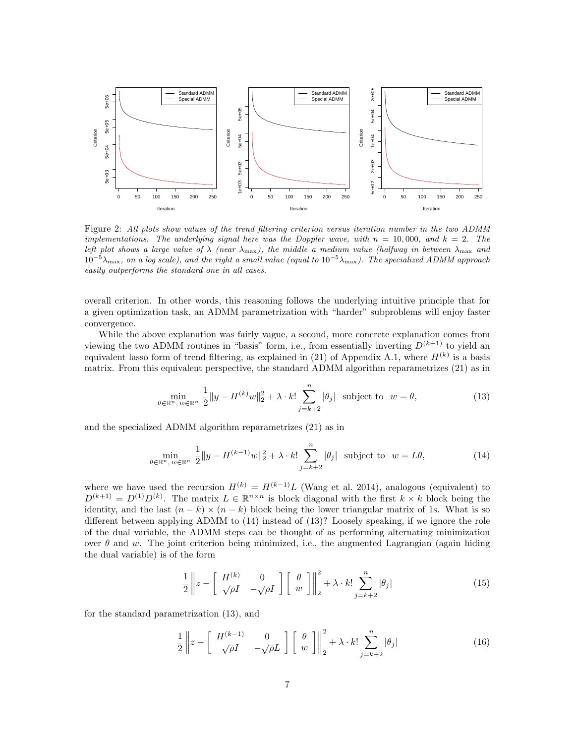

Figure 2: All plots show values of the trend filtering criterion versus iteration number in the two ADMM implementations. The underlying signal here was the Doppler wave, with  $n = 10,000$ , and  $k = 2$ . The left plot shows a large value of  $\lambda$  (near  $\lambda_{\text{max}}$ ), the middle a medium value (halfway in between  $\lambda_{\text{max}}$  and  $10^{-5}\lambda_{\text{max}}$ , on a log scale), and the right a small value (equal to  $10^{-5}\lambda_{\text{max}}$ ). The specialized ADMM approach easily outperforms the standard one in all cases.

overall criterion. In other words, this reasoning follows the underlying intuitive principle that for a given optimization task, an ADMM parametrization with "harder" subproblems will enjoy faster convergence.

While the above explanation was fairly vague, a second, more concrete explanation comes from viewing the two ADMM routines in "basis" form, i.e., from essentially inverting  $D^{(k+1)}$  to yield an equivalent lasso form of trend filtering, as explained in (21) of Appendix A.1, where  $H^{(k)}$  is a basis matrix. From this equivalent perspective, the standard ADMM algorithm reparametrizes (21) as in

$$
\min_{\theta \in \mathbb{R}^n, w \in \mathbb{R}^n} \frac{1}{2} \|y - H^{(k)}w\|_2^2 + \lambda \cdot k! \sum_{j=k+2}^n |\theta_j| \text{ subject to } w = \theta,
$$
\n(13)

and the specialized ADMM algorithm reparametrizes (21) as in

$$
\min_{\theta \in \mathbb{R}^n, w \in \mathbb{R}^n} \frac{1}{2} \|y - H^{(k-1)}w\|_2^2 + \lambda \cdot k! \sum_{j=k+2}^n |\theta_j| \text{ subject to } w = L\theta,
$$
\n(14)

where we have used the recursion  $H^{(k)} = H^{(k-1)}L$  (Wang et al. 2014), analogous (equivalent) to  $D^{(k+1)} = D^{(1)}D^{(k)}$ . The matrix  $L \in \mathbb{R}^{n \times n}$  is block diagonal with the first  $k \times k$  block being the identity, and the last  $(n - k) \times (n - k)$  block being the lower triangular matrix of 1s. What is so different between applying ADMM to (14) instead of (13)? Loosely speaking, if we ignore the role of the dual variable, the ADMM steps can be thought of as performing alternating minimization over  $\theta$  and w. The joint criterion being minimized, i.e., the augmented Lagrangian (again hiding the dual variable) is of the form

$$
\frac{1}{2} \left\| z - \left[ \begin{array}{cc} H^{(k)} & 0 \\ \sqrt{\rho}I & -\sqrt{\rho}I \end{array} \right] \left[ \begin{array}{c} \theta \\ w \end{array} \right] \right\|_2^2 + \lambda \cdot k! \sum_{j=k+2}^n |\theta_j| \tag{15}
$$

for the standard parametrization (13), and

$$
\frac{1}{2} \left\| z - \left[ \begin{array}{cc} H^{(k-1)} & 0\\ \sqrt{\rho}I & -\sqrt{\rho}L \end{array} \right] \left[ \begin{array}{c} \theta\\ w \end{array} \right] \right\|_2^2 + \lambda \cdot k! \sum_{j=k+2}^n |\theta_j| \tag{16}
$$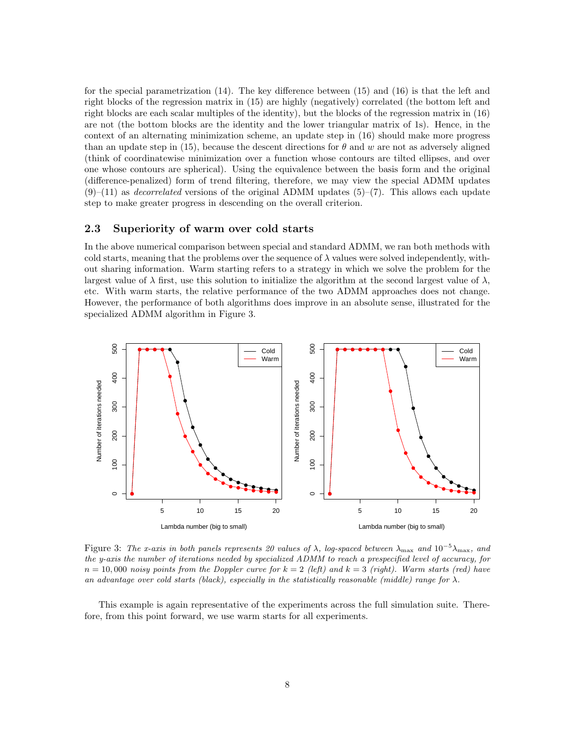for the special parametrization (14). The key difference between (15) and (16) is that the left and right blocks of the regression matrix in (15) are highly (negatively) correlated (the bottom left and right blocks are each scalar multiples of the identity), but the blocks of the regression matrix in (16) are not (the bottom blocks are the identity and the lower triangular matrix of 1s). Hence, in the context of an alternating minimization scheme, an update step in (16) should make more progress than an update step in (15), because the descent directions for  $\theta$  and w are not as adversely aligned (think of coordinatewise minimization over a function whose contours are tilted ellipses, and over one whose contours are spherical). Using the equivalence between the basis form and the original (difference-penalized) form of trend filtering, therefore, we may view the special ADMM updates  $(9)$ –(11) as *decorrelated* versions of the original ADMM updates (5)–(7). This allows each update step to make greater progress in descending on the overall criterion.

## 2.3 Superiority of warm over cold starts

In the above numerical comparison between special and standard ADMM, we ran both methods with cold starts, meaning that the problems over the sequence of  $\lambda$  values were solved independently, without sharing information. Warm starting refers to a strategy in which we solve the problem for the largest value of  $\lambda$  first, use this solution to initialize the algorithm at the second largest value of  $\lambda$ , etc. With warm starts, the relative performance of the two ADMM approaches does not change. However, the performance of both algorithms does improve in an absolute sense, illustrated for the specialized ADMM algorithm in Figure 3.



Figure 3: The x-axis in both panels represents 20 values of  $\lambda$ , log-spaced between  $\lambda_{\max}$  and  $10^{-5}\lambda_{\max}$ , and the y-axis the number of iterations needed by specialized ADMM to reach a prespecified level of accuracy, for  $n = 10,000$  noisy points from the Doppler curve for  $k = 2$  (left) and  $k = 3$  (right). Warm starts (red) have an advantage over cold starts (black), especially in the statistically reasonable (middle) range for  $\lambda$ .

This example is again representative of the experiments across the full simulation suite. Therefore, from this point forward, we use warm starts for all experiments.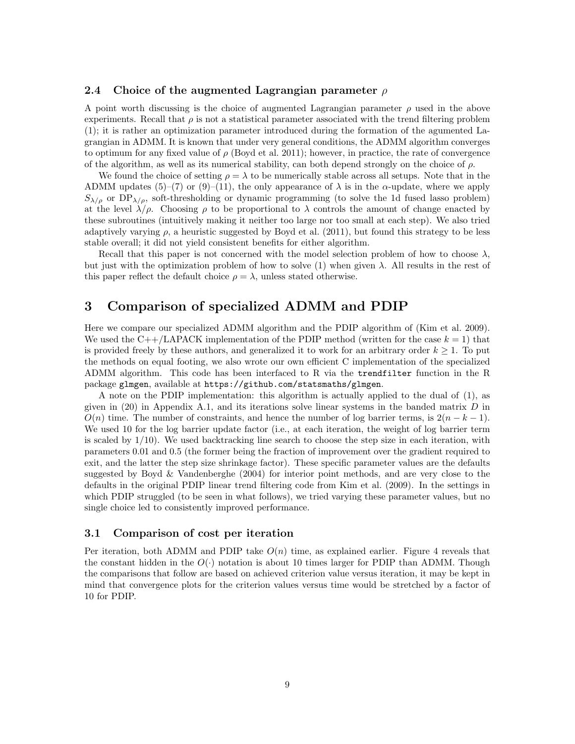## 2.4 Choice of the augmented Lagrangian parameter  $\rho$

A point worth discussing is the choice of augmented Lagrangian parameter  $\rho$  used in the above experiments. Recall that  $\rho$  is not a statistical parameter associated with the trend filtering problem (1); it is rather an optimization parameter introduced during the formation of the agumented Lagrangian in ADMM. It is known that under very general conditions, the ADMM algorithm converges to optimum for any fixed value of  $\rho$  (Boyd et al. 2011); however, in practice, the rate of convergence of the algorithm, as well as its numerical stability, can both depend strongly on the choice of  $\rho$ .

We found the choice of setting  $\rho = \lambda$  to be numerically stable across all setups. Note that in the ADMM updates (5)–(7) or (9)–(11), the only appearance of  $\lambda$  is in the  $\alpha$ -update, where we apply  $S_{\lambda/\rho}$  or  $DP_{\lambda/\rho}$ , soft-thresholding or dynamic programming (to solve the 1d fused lasso problem) at the level  $\lambda/\rho$ . Choosing  $\rho$  to be proportional to  $\lambda$  controls the amount of change enacted by these subroutines (intuitively making it neither too large nor too small at each step). We also tried adaptively varying  $\rho$ , a heuristic suggested by Boyd et al. (2011), but found this strategy to be less stable overall; it did not yield consistent benefits for either algorithm.

Recall that this paper is not concerned with the model selection problem of how to choose  $\lambda$ , but just with the optimization problem of how to solve (1) when given  $\lambda$ . All results in the rest of this paper reflect the default choice  $\rho = \lambda$ , unless stated otherwise.

# 3 Comparison of specialized ADMM and PDIP

Here we compare our specialized ADMM algorithm and the PDIP algorithm of (Kim et al. 2009). We used the C++/LAPACK implementation of the PDIP method (written for the case  $k = 1$ ) that is provided freely by these authors, and generalized it to work for an arbitrary order  $k \geq 1$ . To put the methods on equal footing, we also wrote our own efficient C implementation of the specialized ADMM algorithm. This code has been interfaced to R via the trendfilter function in the R package glmgen, available at https://github.com/statsmaths/glmgen.

A note on the PDIP implementation: this algorithm is actually applied to the dual of (1), as given in  $(20)$  in Appendix A.1, and its iterations solve linear systems in the banded matrix D in  $O(n)$  time. The number of constraints, and hence the number of log barrier terms, is  $2(n - k - 1)$ . We used 10 for the log barrier update factor (i.e., at each iteration, the weight of log barrier term is scaled by  $1/10$ ). We used backtracking line search to choose the step size in each iteration, with parameters 0.01 and 0.5 (the former being the fraction of improvement over the gradient required to exit, and the latter the step size shrinkage factor). These specific parameter values are the defaults suggested by Boyd & Vandenberghe (2004) for interior point methods, and are very close to the defaults in the original PDIP linear trend filtering code from Kim et al. (2009). In the settings in which PDIP struggled (to be seen in what follows), we tried varying these parameter values, but no single choice led to consistently improved performance.

#### 3.1 Comparison of cost per iteration

Per iteration, both ADMM and PDIP take  $O(n)$  time, as explained earlier. Figure 4 reveals that the constant hidden in the  $O(\cdot)$  notation is about 10 times larger for PDIP than ADMM. Though the comparisons that follow are based on achieved criterion value versus iteration, it may be kept in mind that convergence plots for the criterion values versus time would be stretched by a factor of 10 for PDIP.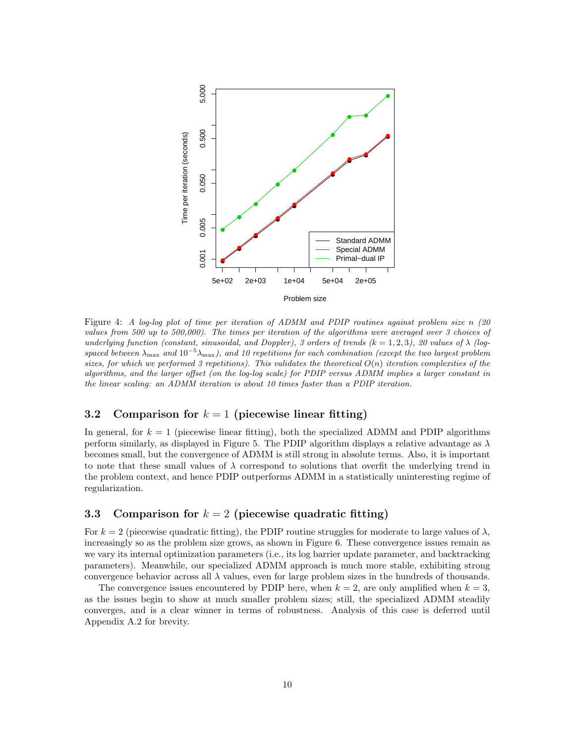

Figure 4: A log-log plot of time per iteration of ADMM and PDIP routines against problem size n (20 values from 500 up to 500,000). The times per iteration of the algorithms were averaged over 3 choices of underlying function (constant, sinusoidal, and Doppler), 3 orders of trends  $(k = 1, 2, 3)$ , 20 values of  $\lambda$  (logspaced between  $\lambda_{\text{max}}$  and  $10^{-5}\lambda_{\text{max}}$ ), and 10 repetitions for each combination (except the two largest problem sizes, for which we performed 3 repetitions). This validates the theoretical  $O(n)$  iteration complexities of the algorithms, and the larger offset (on the log-log scale) for PDIP versus ADMM implies a larger constant in the linear scaling: an ADMM iteration is about 10 times faster than a PDIP iteration.

## 3.2 Comparison for  $k = 1$  (piecewise linear fitting)

In general, for  $k = 1$  (piecewise linear fitting), both the specialized ADMM and PDIP algorithms perform similarly, as displayed in Figure 5. The PDIP algorithm displays a relative advantage as  $\lambda$ becomes small, but the convergence of ADMM is still strong in absolute terms. Also, it is important to note that these small values of  $\lambda$  correspond to solutions that overfit the underlying trend in the problem context, and hence PDIP outperforms ADMM in a statistically uninteresting regime of regularization.

## 3.3 Comparison for  $k = 2$  (piecewise quadratic fitting)

For  $k = 2$  (piecewise quadratic fitting), the PDIP routine struggles for moderate to large values of  $\lambda$ , increasingly so as the problem size grows, as shown in Figure 6. These convergence issues remain as we vary its internal optimization parameters (i.e., its log barrier update parameter, and backtracking parameters). Meanwhile, our specialized ADMM approach is much more stable, exhibiting strong convergence behavior across all  $\lambda$  values, even for large problem sizes in the hundreds of thousands.

The convergence issues encountered by PDIP here, when  $k = 2$ , are only amplified when  $k = 3$ , as the issues begin to show at much smaller problem sizes; still, the specialized ADMM steadily converges, and is a clear winner in terms of robustness. Analysis of this case is deferred until Appendix A.2 for brevity.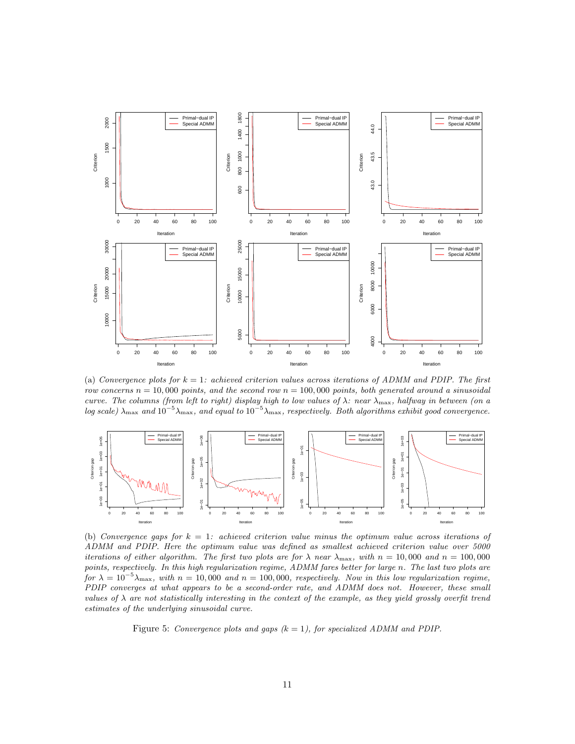

(a) Convergence plots for  $k = 1$ : achieved criterion values across iterations of ADMM and PDIP. The first row concerns  $n = 10,000$  points, and the second row  $n = 100,000$  points, both generated around a sinusoidal curve. The columns (from left to right) display high to low values of  $\lambda$ : near  $\lambda_{\text{max}}$ , halfway in between (on a log scale)  $\lambda_{\text{max}}$  and  $10^{-5}\lambda_{\text{max}}$ , and equal to  $10^{-5}\lambda_{\text{max}}$ , respectively. Both algorithms exhibit good convergence.



(b) Convergence gaps for  $k = 1$ : achieved criterion value minus the optimum value across iterations of ADMM and PDIP. Here the optimum value was defined as smallest achieved criterion value over 5000 iterations of either algorithm. The first two plots are for  $\lambda$  near  $\lambda_{\text{max}}$ , with  $n = 10,000$  and  $n = 100,000$ points, respectively. In this high regularization regime, ADMM fares better for large n. The last two plots are for  $\lambda = 10^{-5} \lambda_{\text{max}}$ , with  $n = 10,000$  and  $n = 100,000$ , respectively. Now in this low regularization regime, PDIP converges at what appears to be a second-order rate, and ADMM does not. However, these small values of  $\lambda$  are not statistically interesting in the context of the example, as they yield grossly overfit trend estimates of the underlying sinusoidal curve.

Figure 5: Convergence plots and gaps  $(k = 1)$ , for specialized ADMM and PDIP.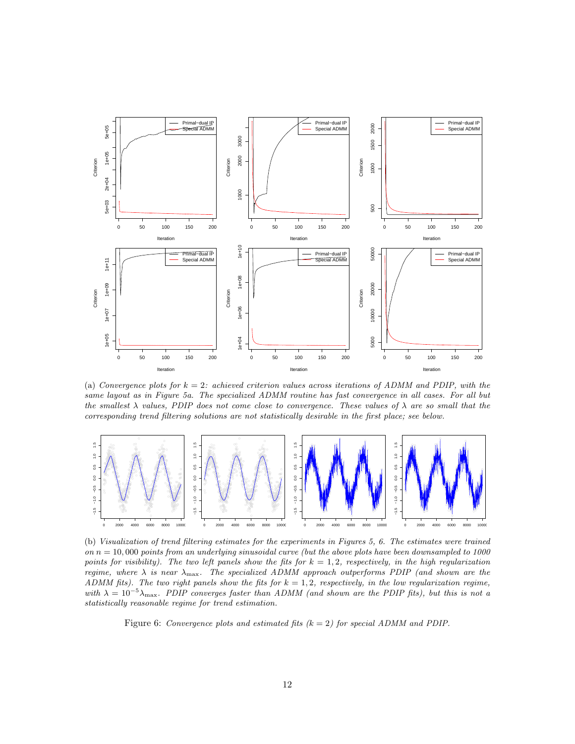

(a) Convergence plots for  $k = 2$ : achieved criterion values across iterations of ADMM and PDIP, with the same layout as in Figure 5a. The specialized ADMM routine has fast convergence in all cases. For all but the smallest  $\lambda$  values, PDIP does not come close to convergence. These values of  $\lambda$  are so small that the corresponding trend filtering solutions are not statistically desirable in the first place; see below.



(b) Visualization of trend filtering estimates for the experiments in Figures 5, 6. The estimates were trained on  $n = 10,000$  points from an underlying sinusoidal curve (but the above plots have been downsampled to 1000 points for visibility). The two left panels show the fits for  $k = 1, 2$ , respectively, in the high regularization regime, where  $\lambda$  is near  $\lambda_{\text{max}}$ . The specialized ADMM approach outperforms PDIP (and shown are the ADMM fits). The two right panels show the fits for  $k = 1, 2$ , respectively, in the low regularization regime, with  $\lambda = 10^{-5} \lambda_{\text{max}}$ . PDIP converges faster than ADMM (and shown are the PDIP fits), but this is not a statistically reasonable regime for trend estimation.

Figure 6: Convergence plots and estimated fits  $(k = 2)$  for special ADMM and PDIP.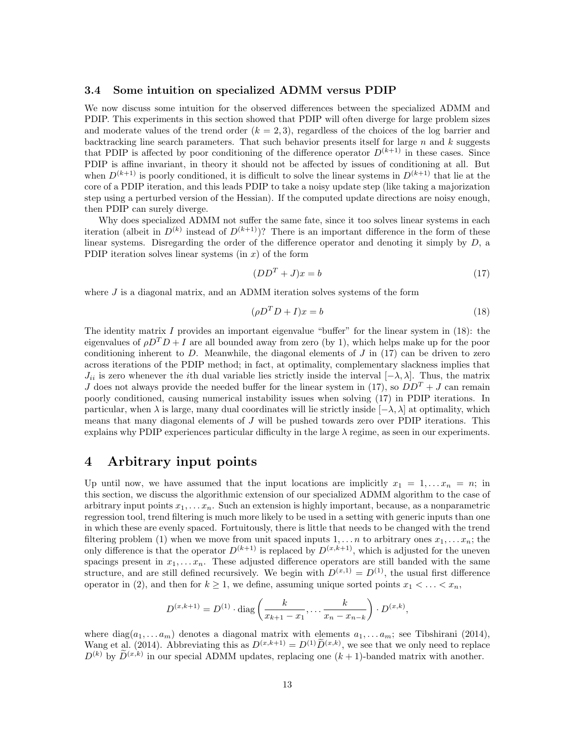### 3.4 Some intuition on specialized ADMM versus PDIP

We now discuss some intuition for the observed differences between the specialized ADMM and PDIP. This experiments in this section showed that PDIP will often diverge for large problem sizes and moderate values of the trend order  $(k = 2, 3)$ , regardless of the choices of the log barrier and backtracking line search parameters. That such behavior presents itself for large  $n$  and  $k$  suggests that PDIP is affected by poor conditioning of the difference operator  $D^{(k+1)}$  in these cases. Since PDIP is affine invariant, in theory it should not be affected by issues of conditioning at all. But when  $D^{(k+1)}$  is poorly conditioned, it is difficult to solve the linear systems in  $D^{(k+1)}$  that lie at the core of a PDIP iteration, and this leads PDIP to take a noisy update step (like taking a majorization step using a perturbed version of the Hessian). If the computed update directions are noisy enough, then PDIP can surely diverge.

Why does specialized ADMM not suffer the same fate, since it too solves linear systems in each iteration (albeit in  $D^{(k)}$  instead of  $D^{(k+1)}$ )? There is an important difference in the form of these linear systems. Disregarding the order of the difference operator and denoting it simply by  $D$ , a PDIP iteration solves linear systems  $(in x)$  of the form

$$
(DDT + J)x = b \tag{17}
$$

where  $J$  is a diagonal matrix, and an ADMM iteration solves systems of the form

$$
(\rho D^T D + I)x = b \tag{18}
$$

The identity matrix  $I$  provides an important eigenvalue "buffer" for the linear system in  $(18)$ : the eigenvalues of  $\rho D^T D + I$  are all bounded away from zero (by 1), which helps make up for the poor conditioning inherent to  $D$ . Meanwhile, the diagonal elements of  $J$  in (17) can be driven to zero across iterations of the PDIP method; in fact, at optimality, complementary slackness implies that  $J_{ii}$  is zero whenever the *i*th dual variable lies strictly inside the interval  $[-\lambda, \lambda]$ . Thus, the matrix J does not always provide the needed buffer for the linear system in (17), so  $DD^{T} + J$  can remain poorly conditioned, causing numerical instability issues when solving (17) in PDIP iterations. In particular, when  $\lambda$  is large, many dual coordinates will lie strictly inside  $[-\lambda, \lambda]$  at optimality, which means that many diagonal elements of  $J$  will be pushed towards zero over PDIP iterations. This explains why PDIP experiences particular difficulty in the large  $\lambda$  regime, as seen in our experiments.

## 4 Arbitrary input points

Up until now, we have assumed that the input locations are implicitly  $x_1 = 1, \ldots, x_n = n$ ; in this section, we discuss the algorithmic extension of our specialized ADMM algorithm to the case of arbitrary input points  $x_1, \ldots, x_n$ . Such an extension is highly important, because, as a nonparametric regression tool, trend filtering is much more likely to be used in a setting with generic inputs than one in which these are evenly spaced. Fortuitously, there is little that needs to be changed with the trend filtering problem (1) when we move from unit spaced inputs  $1, \ldots n$  to arbitrary ones  $x_1, \ldots x_n$ ; the only difference is that the operator  $D^{(k+1)}$  is replaced by  $D^{(x,k+1)}$ , which is adjusted for the uneven spacings present in  $x_1, \ldots, x_n$ . These adjusted difference operators are still banded with the same structure, and are still defined recursively. We begin with  $D^{(x,1)} = D^{(1)}$ , the usual first difference operator in (2), and then for  $k \geq 1$ , we define, assuming unique sorted points  $x_1 < \ldots < x_n$ ,

$$
D^{(x,k+1)} = D^{(1)} \cdot \text{diag}\left(\frac{k}{x_{k+1} - x_1}, \dots, \frac{k}{x_n - x_{n-k}}\right) \cdot D^{(x,k)},
$$

where  $diag(a_1, \ldots, a_m)$  denotes a diagonal matrix with elements  $a_1, \ldots, a_m$ ; see Tibshirani (2014), Wang et al. (2014). Abbreviating this as  $D^{(x,k+1)} = D^{(1)}\tilde{D}^{(x,k)}$ , we see that we only need to replace  $D^{(k)}$  by  $\widetilde{D}^{(x,k)}$  in our special ADMM updates, replacing one  $(k+1)$ -banded matrix with another.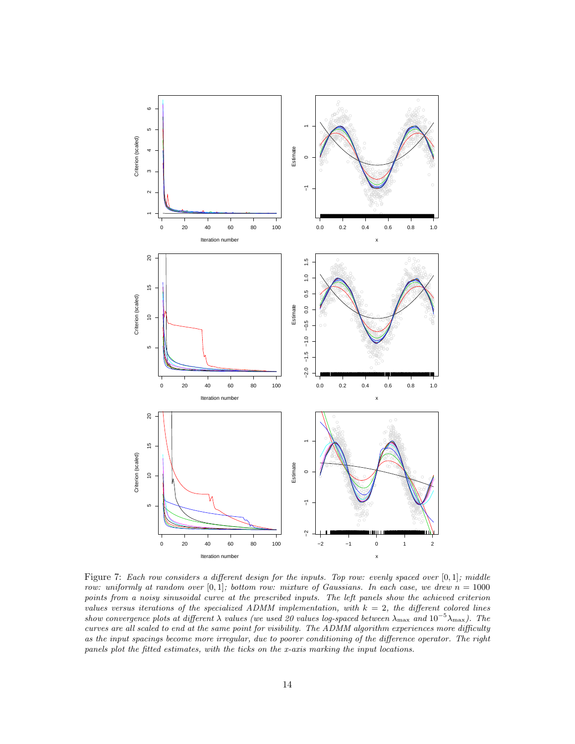

Figure 7: Each row considers a different design for the inputs. Top row: evenly spaced over  $[0,1]$ ; middle row: uniformly at random over [0,1]; bottom row: mixture of Gaussians. In each case, we drew  $n = 1000$ points from a noisy sinusoidal curve at the prescribed inputs. The left panels show the achieved criterion values versus iterations of the specialized ADMM implementation, with  $k = 2$ , the different colored lines show convergence plots at different  $\lambda$  values (we used 20 values log-spaced between  $\lambda_{\text{max}}$  and  $10^{-5}\lambda_{\text{max}}$ ). The curves are all scaled to end at the same point for visibility. The ADMM algorithm experiences more difficulty as the input spacings become more irregular, due to poorer conditioning of the difference operator. The right panels plot the fitted estimates, with the ticks on the x-axis marking the input locations.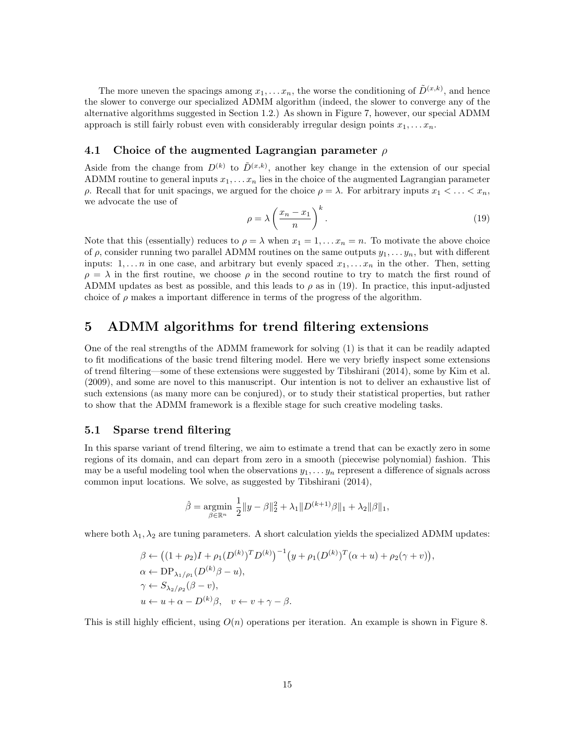The more uneven the spacings among  $x_1, \ldots x_n$ , the worse the conditioning of  $\tilde{D}^{(x,k)}$ , and hence the slower to converge our specialized ADMM algorithm (indeed, the slower to converge any of the alternative algorithms suggested in Section 1.2.) As shown in Figure 7, however, our special ADMM approach is still fairly robust even with considerably irregular design points  $x_1, \ldots, x_n$ .

## 4.1 Choice of the augmented Lagrangian parameter  $\rho$

Aside from the change from  $D^{(k)}$  to  $\tilde{D}^{(x,k)}$ , another key change in the extension of our special ADMM routine to general inputs  $x_1, \ldots x_n$  lies in the choice of the augmented Lagrangian parameter ρ. Recall that for unit spacings, we argued for the choice  $ρ = λ$ . For arbitrary inputs  $x_1 < \ldots < x_n$ , we advocate the use of

$$
\rho = \lambda \left(\frac{x_n - x_1}{n}\right)^k.
$$
\n(19)

Note that this (essentially) reduces to  $\rho = \lambda$  when  $x_1 = 1, \ldots, x_n = n$ . To motivate the above choice of  $\rho$ , consider running two parallel ADMM routines on the same outputs  $y_1, \ldots, y_n$ , but with different inputs:  $1, \ldots n$  in one case, and arbitrary but evenly spaced  $x_1, \ldots x_n$  in the other. Then, setting  $\rho = \lambda$  in the first routine, we choose  $\rho$  in the second routine to try to match the first round of ADMM updates as best as possible, and this leads to  $\rho$  as in (19). In practice, this input-adjusted choice of  $\rho$  makes a important difference in terms of the progress of the algorithm.

## 5 ADMM algorithms for trend filtering extensions

One of the real strengths of the ADMM framework for solving (1) is that it can be readily adapted to fit modifications of the basic trend filtering model. Here we very briefly inspect some extensions of trend filtering—some of these extensions were suggested by Tibshirani (2014), some by Kim et al. (2009), and some are novel to this manuscript. Our intention is not to deliver an exhaustive list of such extensions (as many more can be conjured), or to study their statistical properties, but rather to show that the ADMM framework is a flexible stage for such creative modeling tasks.

### 5.1 Sparse trend filtering

In this sparse variant of trend filtering, we aim to estimate a trend that can be exactly zero in some regions of its domain, and can depart from zero in a smooth (piecewise polynomial) fashion. This may be a useful modeling tool when the observations  $y_1, \ldots, y_n$  represent a difference of signals across common input locations. We solve, as suggested by Tibshirani (2014),

$$
\hat{\beta} = \mathop{\rm argmin}_{\beta \in \mathbb{R}^n} \frac{1}{2} \|y - \beta\|_2^2 + \lambda_1 \|D^{(k+1)}\beta\|_1 + \lambda_2 \|\beta\|_1,
$$

where both  $\lambda_1, \lambda_2$  are tuning parameters. A short calculation yields the specialized ADMM updates:

$$
\beta \leftarrow ((1+\rho_2)I + \rho_1(D^{(k)})^T D^{(k)})^{-1} (y + \rho_1(D^{(k)})^T (\alpha + u) + \rho_2(\gamma + v)),
$$
  
\n
$$
\alpha \leftarrow \text{DP}_{\lambda_1/\rho_1}(D^{(k)}\beta - u),
$$
  
\n
$$
\gamma \leftarrow S_{\lambda_2/\rho_2}(\beta - v),
$$
  
\n
$$
u \leftarrow u + \alpha - D^{(k)}\beta, \quad v \leftarrow v + \gamma - \beta.
$$

This is still highly efficient, using  $O(n)$  operations per iteration. An example is shown in Figure 8.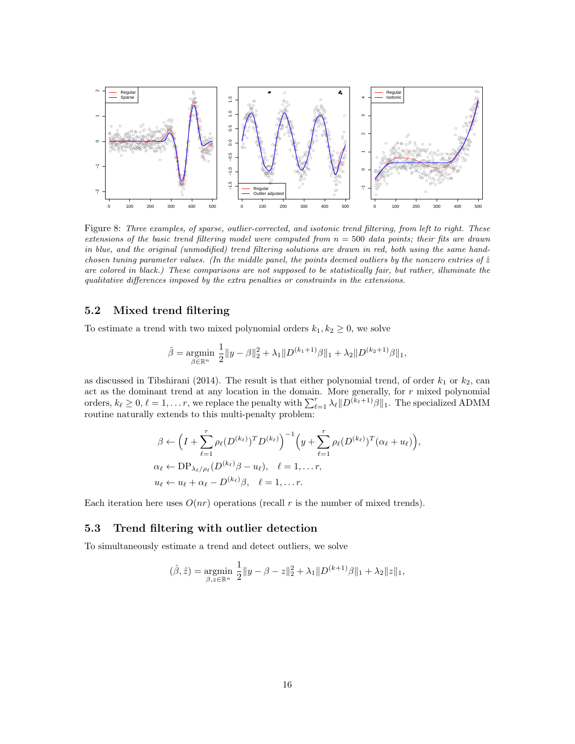

Figure 8: Three examples, of sparse, outlier-corrected, and isotonic trend filtering, from left to right. These extensions of the basic trend filtering model were computed from  $n = 500$  data points; their fits are drawn in blue, and the original (unmodified) trend filtering solutions are drawn in red, both using the same handchosen tuning parameter values. (In the middle panel, the points deemed outliers by the nonzero entries of  $\hat{z}$ are colored in black.) These comparisons are not supposed to be statistically fair, but rather, illuminate the qualitative differences imposed by the extra penalties or constraints in the extensions.

### 5.2 Mixed trend filtering

To estimate a trend with two mixed polynomial orders  $k_1, k_2 \geq 0$ , we solve

$$
\hat{\beta} = \mathop{\rm argmin}_{\beta \in \mathbb{R}^n} \frac{1}{2} \|y - \beta\|_2^2 + \lambda_1 \|D^{(k_1+1)}\beta\|_1 + \lambda_2 \|D^{(k_2+1)}\beta\|_1,
$$

as discussed in Tibshirani (2014). The result is that either polynomial trend, of order  $k_1$  or  $k_2$ , can act as the dominant trend at any location in the domain. More generally, for  $r$  mixed polynomial orders,  $k_\ell \geq 0$ ,  $\ell = 1, \ldots r$ , we replace the penalty with  $\sum_{\ell=1}^r \lambda_\ell ||D^{(k_\ell+1)}\beta||_1$ . The specialized ADMM routine naturally extends to this multi-penalty problem:

$$
\beta \leftarrow \left(I + \sum_{\ell=1}^r \rho_\ell(D^{(k_\ell)})^T D^{(k_\ell)}\right)^{-1} \left(y + \sum_{\ell=1}^r \rho_\ell(D^{(k_\ell)})^T (\alpha_\ell + u_\ell)\right),
$$
  
\n
$$
\alpha_\ell \leftarrow \text{DP}_{\lambda_\ell/\rho_\ell}(D^{(k_\ell)}\beta - u_\ell), \quad \ell = 1, \dots r,
$$
  
\n
$$
u_\ell \leftarrow u_\ell + \alpha_\ell - D^{(k_\ell)}\beta, \quad \ell = 1, \dots r.
$$

Each iteration here uses  $O(nr)$  operations (recall r is the number of mixed trends).

### 5.3 Trend filtering with outlier detection

To simultaneously estimate a trend and detect outliers, we solve

$$
(\hat{\beta}, \hat{z}) = \underset{\beta, z \in \mathbb{R}^n}{\text{argmin}} \frac{1}{2} ||y - \beta - z||_2^2 + \lambda_1 ||D^{(k+1)}\beta||_1 + \lambda_2 ||z||_1,
$$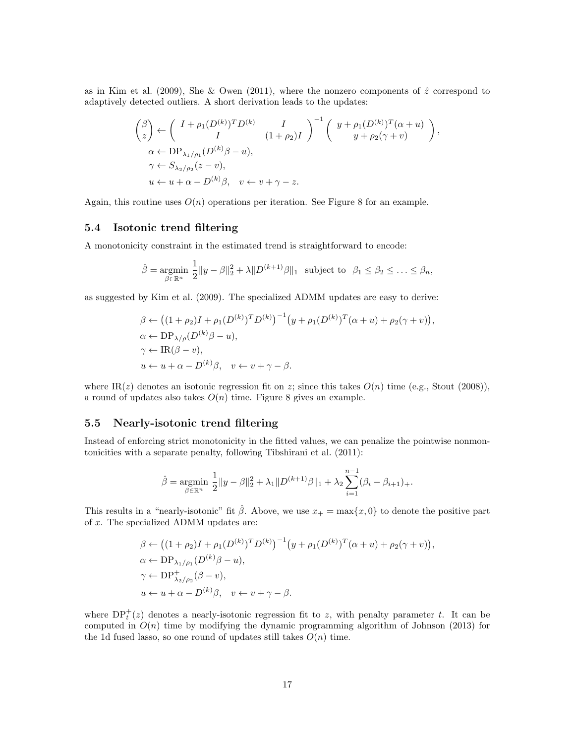as in Kim et al. (2009), She & Owen (2011), where the nonzero components of  $\hat{z}$  correspond to adaptively detected outliers. A short derivation leads to the updates:

$$
\begin{aligned}\n\binom{\beta}{z} &\leftarrow \left(\begin{array}{cc} I + \rho_1(D^{(k)})^T D^{(k)} & I \\
I & (1 + \rho_2)I \end{array}\right)^{-1} \left(\begin{array}{c} y + \rho_1(D^{(k)})^T (\alpha + u) \\
y + \rho_2(\gamma + v) \end{array}\right), \\
\alpha &\leftarrow \text{DP}_{\lambda_1/\rho_1}(D^{(k)} \beta - u), \\
\gamma &\leftarrow S_{\lambda_2/\rho_2}(z - v), \\
u &\leftarrow u + \alpha - D^{(k)} \beta, \quad v \leftarrow v + \gamma - z.\n\end{aligned}
$$

Again, this routine uses  $O(n)$  operations per iteration. See Figure 8 for an example.

## 5.4 Isotonic trend filtering

A monotonicity constraint in the estimated trend is straightforward to encode:

$$
\hat{\beta} = \underset{\beta \in \mathbb{R}^n}{\text{argmin}} \ \frac{1}{2} \|y - \beta\|_2^2 + \lambda \|D^{(k+1)}\beta\|_1 \ \text{ subject to } \ \beta_1 \le \beta_2 \le \ldots \le \beta_n,
$$

as suggested by Kim et al. (2009). The specialized ADMM updates are easy to derive:

$$
\beta \leftarrow ((1+\rho_2)I + \rho_1(D^{(k)})^T D^{(k)})^{-1} (y + \rho_1(D^{(k)})^T (\alpha + u) + \rho_2(\gamma + v)),
$$
  
\n
$$
\alpha \leftarrow \text{DP}_{\lambda/\rho}(D^{(k)}\beta - u),
$$
  
\n
$$
\gamma \leftarrow \text{IR}(\beta - v),
$$
  
\n
$$
u \leftarrow u + \alpha - D^{(k)}\beta, \quad v \leftarrow v + \gamma - \beta.
$$

where IR(z) denotes an isotonic regression fit on z; since this takes  $O(n)$  time (e.g., Stout (2008)), a round of updates also takes  $O(n)$  time. Figure 8 gives an example.

## 5.5 Nearly-isotonic trend filtering

Instead of enforcing strict monotonicity in the fitted values, we can penalize the pointwise nonmontonicities with a separate penalty, following Tibshirani et al. (2011):

$$
\hat{\beta} = \underset{\beta \in \mathbb{R}^n}{\text{argmin}} \ \frac{1}{2} \|y - \beta\|_2^2 + \lambda_1 \|D^{(k+1)}\beta\|_1 + \lambda_2 \sum_{i=1}^{n-1} (\beta_i - \beta_{i+1})_+.
$$

This results in a "nearly-isotonic" fit  $\hat{\beta}$ . Above, we use  $x_+ = \max\{x, 0\}$  to denote the positive part of x. The specialized ADMM updates are:

$$
\beta \leftarrow ((1+\rho_2)I + \rho_1(D^{(k)})^T D^{(k)})^{-1} (y + \rho_1(D^{(k)})^T (\alpha + u) + \rho_2(\gamma + v)),
$$
  
\n
$$
\alpha \leftarrow \text{DP}_{\lambda_1/\rho_1}(D^{(k)}\beta - u),
$$
  
\n
$$
\gamma \leftarrow \text{DP}_{\lambda_2/\rho_2}^+(\beta - v),
$$
  
\n
$$
u \leftarrow u + \alpha - D^{(k)}\beta, \quad v \leftarrow v + \gamma - \beta.
$$

where  $DP_t^+(z)$  denotes a nearly-isotonic regression fit to z, with penalty parameter t. It can be computed in  $O(n)$  time by modifying the dynamic programming algorithm of Johnson (2013) for the 1d fused lasso, so one round of updates still takes  $O(n)$  time.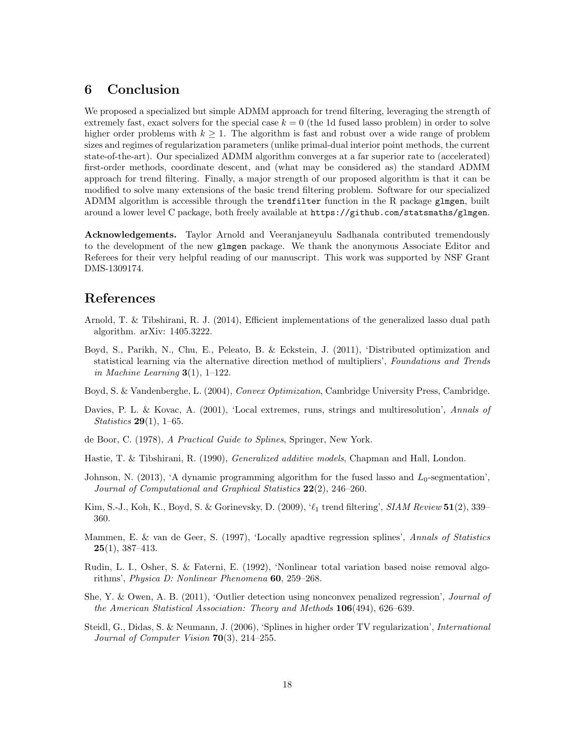# 6 Conclusion

We proposed a specialized but simple ADMM approach for trend filtering, leveraging the strength of extremely fast, exact solvers for the special case  $k = 0$  (the 1d fused lasso problem) in order to solve higher order problems with  $k \geq 1$ . The algorithm is fast and robust over a wide range of problem sizes and regimes of regularization parameters (unlike primal-dual interior point methods, the current state-of-the-art). Our specialized ADMM algorithm converges at a far superior rate to (accelerated) first-order methods, coordinate descent, and (what may be considered as) the standard ADMM approach for trend filtering. Finally, a major strength of our proposed algorithm is that it can be modified to solve many extensions of the basic trend filtering problem. Software for our specialized ADMM algorithm is accessible through the trendfilter function in the R package glmgen, built around a lower level C package, both freely available at https://github.com/statsmaths/glmgen.

Acknowledgements. Taylor Arnold and Veeranjaneyulu Sadhanala contributed tremendously to the development of the new glmgen package. We thank the anonymous Associate Editor and Referees for their very helpful reading of our manuscript. This work was supported by NSF Grant DMS-1309174.

# References

- Arnold, T. & Tibshirani, R. J. (2014), Efficient implementations of the generalized lasso dual path algorithm. arXiv: 1405.3222.
- Boyd, S., Parikh, N., Chu, E., Peleato, B. & Eckstein, J. (2011), 'Distributed optimization and statistical learning via the alternative direction method of multipliers', Foundations and Trends in Machine Learning  $3(1)$ , 1–122.
- Boyd, S. & Vandenberghe, L. (2004), Convex Optimization, Cambridge University Press, Cambridge.
- Davies, P. L. & Kovac, A. (2001), 'Local extremes, runs, strings and multiresolution', Annals of Statistics  $29(1)$ , 1–65.
- de Boor, C. (1978), A Practical Guide to Splines, Springer, New York.
- Hastie, T. & Tibshirani, R. (1990), Generalized additive models, Chapman and Hall, London.
- Johnson, N. (2013), 'A dynamic programming algorithm for the fused lasso and  $L_0$ -segmentation', Journal of Computational and Graphical Statistics  $22(2)$ , 246-260.
- Kim, S.-J., Koh, K., Boyd, S. & Gorinevsky, D. (2009),  $\ell_1$  trend filtering', SIAM Review 51(2), 339– 360.
- Mammen, E. & van de Geer, S. (1997), 'Locally apadtive regression splines', Annals of Statistics  $25(1), 387-413.$
- Rudin, L. I., Osher, S. & Faterni, E. (1992), 'Nonlinear total variation based noise removal algorithms', Physica D: Nonlinear Phenomena 60, 259–268.
- She, Y. & Owen, A. B. (2011), 'Outlier detection using nonconvex penalized regression', Journal of the American Statistical Association: Theory and Methods 106(494), 626–639.
- Steidl, G., Didas, S. & Neumann, J. (2006), 'Splines in higher order TV regularization', *International* Journal of Computer Vision  $70(3)$ , 214–255.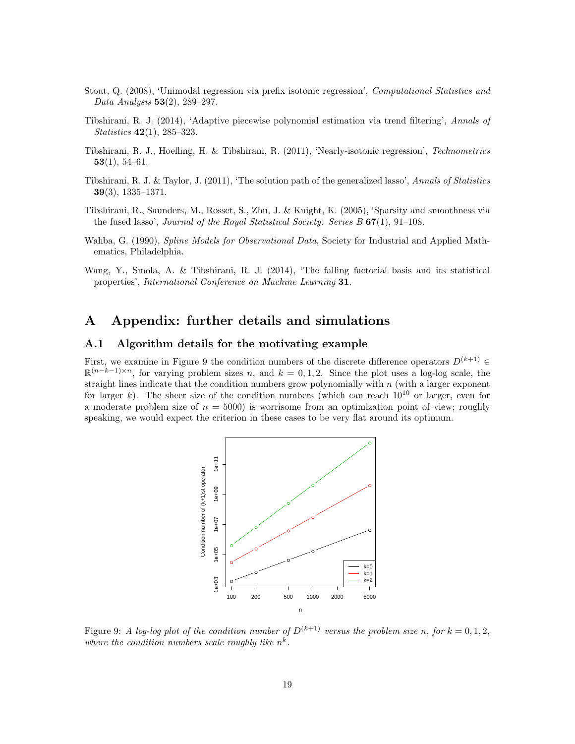- Stout, Q. (2008), 'Unimodal regression via prefix isotonic regression', Computational Statistics and Data Analysis 53(2), 289–297.
- Tibshirani, R. J. (2014), 'Adaptive piecewise polynomial estimation via trend filtering', Annals of Statistics 42(1), 285–323.
- Tibshirani, R. J., Hoefling, H. & Tibshirani, R. (2011), 'Nearly-isotonic regression', Technometrics 53(1), 54–61.
- Tibshirani, R. J. & Taylor, J. (2011), 'The solution path of the generalized lasso', Annals of Statistics 39(3), 1335–1371.
- Tibshirani, R., Saunders, M., Rosset, S., Zhu, J. & Knight, K. (2005), 'Sparsity and smoothness via the fused lasso', Journal of the Royal Statistical Society: Series  $B$  67(1), 91–108.
- Wahba, G. (1990), *Spline Models for Observational Data*, Society for Industrial and Applied Mathematics, Philadelphia.
- Wang, Y., Smola, A. & Tibshirani, R. J. (2014), 'The falling factorial basis and its statistical properties', International Conference on Machine Learning 31.

## A Appendix: further details and simulations

## A.1 Algorithm details for the motivating example

First, we examine in Figure 9 the condition numbers of the discrete difference operators  $D^{(k+1)}$  $\mathbb{R}^{(n-k-1)\times n}$ , for varying problem sizes n, and  $k = 0, 1, 2$ . Since the plot uses a log-log scale, the straight lines indicate that the condition numbers grow polynomially with  $n$  (with a larger exponent for larger k). The sheer size of the condition numbers (which can reach  $10^{10}$  or larger, even for a moderate problem size of  $n = 5000$  is worrisome from an optimization point of view; roughly speaking, we would expect the criterion in these cases to be very flat around its optimum.



Figure 9: A log-log plot of the condition number of  $D^{(k+1)}$  versus the problem size n, for  $k = 0, 1, 2$ , where the condition numbers scale roughly like  $n^k$ .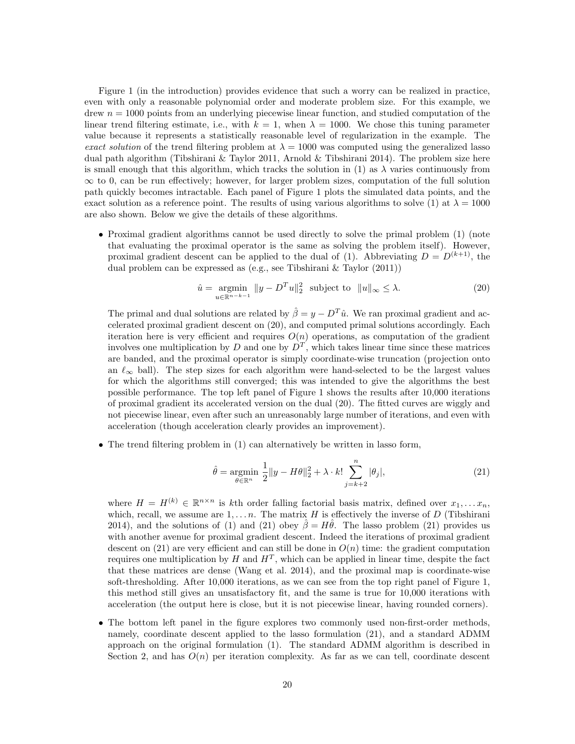Figure 1 (in the introduction) provides evidence that such a worry can be realized in practice, even with only a reasonable polynomial order and moderate problem size. For this example, we drew  $n = 1000$  points from an underlying piecewise linear function, and studied computation of the linear trend filtering estimate, i.e., with  $k = 1$ , when  $\lambda = 1000$ . We chose this tuning parameter value because it represents a statistically reasonable level of regularization in the example. The exact solution of the trend filtering problem at  $\lambda = 1000$  was computed using the generalized lasso dual path algorithm (Tibshirani & Taylor 2011, Arnold & Tibshirani 2014). The problem size here is small enough that this algorithm, which tracks the solution in (1) as  $\lambda$  varies continuously from  $\infty$  to 0, can be run effectively; however, for larger problem sizes, computation of the full solution path quickly becomes intractable. Each panel of Figure 1 plots the simulated data points, and the exact solution as a reference point. The results of using various algorithms to solve (1) at  $\lambda = 1000$ are also shown. Below we give the details of these algorithms.

• Proximal gradient algorithms cannot be used directly to solve the primal problem (1) (note that evaluating the proximal operator is the same as solving the problem itself). However, proximal gradient descent can be applied to the dual of (1). Abbreviating  $D = D^{(k+1)}$ , the dual problem can be expressed as (e.g., see Tibshirani & Taylor (2011))

$$
\hat{u} = \underset{u \in \mathbb{R}^{n-k-1}}{\operatorname{argmin}} \|y - D^T u\|_2^2 \text{ subject to } \|u\|_{\infty} \le \lambda. \tag{20}
$$

The primal and dual solutions are related by  $\hat{\beta} = y - D^T \hat{u}$ . We ran proximal gradient and accelerated proximal gradient descent on (20), and computed primal solutions accordingly. Each iteration here is very efficient and requires  $O(n)$  operations, as computation of the gradient involves one multiplication by D and one by  $D<sup>T</sup>$ , which takes linear time since these matrices are banded, and the proximal operator is simply coordinate-wise truncation (projection onto an  $\ell_{\infty}$  ball). The step sizes for each algorithm were hand-selected to be the largest values for which the algorithms still converged; this was intended to give the algorithms the best possible performance. The top left panel of Figure 1 shows the results after 10,000 iterations of proximal gradient its accelerated version on the dual (20). The fitted curves are wiggly and not piecewise linear, even after such an unreasonably large number of iterations, and even with acceleration (though acceleration clearly provides an improvement).

• The trend filtering problem in (1) can alternatively be written in lasso form,

$$
\hat{\theta} = \underset{\theta \in \mathbb{R}^n}{\text{argmin}} \ \frac{1}{2} \|y - H\theta\|_2^2 + \lambda \cdot k! \sum_{j=k+2}^n |\theta_j|,\tag{21}
$$

where  $H = H^{(k)} \in \mathbb{R}^{n \times n}$  is kth order falling factorial basis matrix, defined over  $x_1, \ldots, x_n$ , which, recall, we assume are  $1, \ldots, n$ . The matrix H is effectively the inverse of D (Tibshirani 2014), and the solutions of (1) and (21) obey  $\hat{\beta} = H\hat{\theta}$ . The lasso problem (21) provides us with another avenue for proximal gradient descent. Indeed the iterations of proximal gradient descent on (21) are very efficient and can still be done in  $O(n)$  time: the gradient computation requires one multiplication by H and  $H^T$ , which can be applied in linear time, despite the fact that these matrices are dense (Wang et al. 2014), and the proximal map is coordinate-wise soft-thresholding. After 10,000 iterations, as we can see from the top right panel of Figure 1, this method still gives an unsatisfactory fit, and the same is true for 10,000 iterations with acceleration (the output here is close, but it is not piecewise linear, having rounded corners).

• The bottom left panel in the figure explores two commonly used non-first-order methods, namely, coordinate descent applied to the lasso formulation (21), and a standard ADMM approach on the original formulation (1). The standard ADMM algorithm is described in Section 2, and has  $O(n)$  per iteration complexity. As far as we can tell, coordinate descent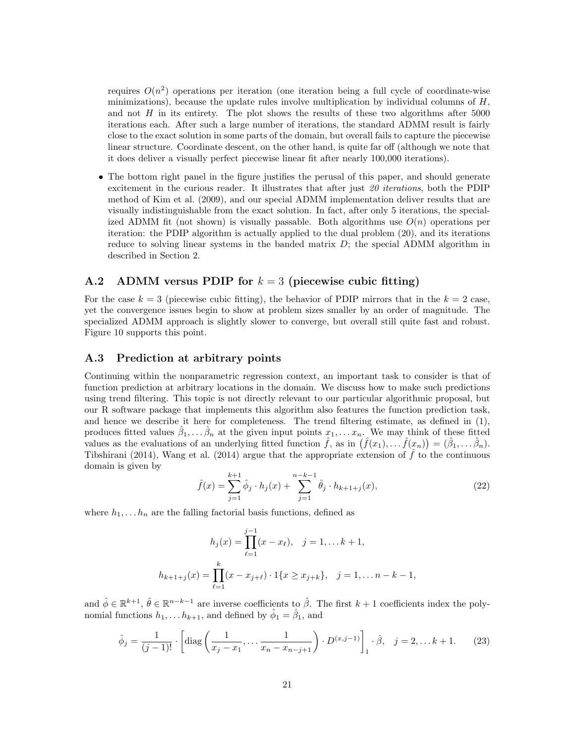requires  $O(n^2)$  operations per iteration (one iteration being a full cycle of coordinate-wise minimizations), because the update rules involve multiplication by individual columns of  $H$ , and not  $H$  in its entirety. The plot shows the results of these two algorithms after  $5000$ iterations each. After such a large number of iterations, the standard ADMM result is fairly close to the exact solution in some parts of the domain, but overall fails to capture the piecewise linear structure. Coordinate descent, on the other hand, is quite far off (although we note that it does deliver a visually perfect piecewise linear fit after nearly 100,000 iterations).

• The bottom right panel in the figure justifies the perusal of this paper, and should generate excitement in the curious reader. It illustrates that after just  $20$  *iterations*, both the PDIP method of Kim et al. (2009), and our special ADMM implementation deliver results that are visually indistinguishable from the exact solution. In fact, after only 5 iterations, the specialized ADMM fit (not shown) is visually passable. Both algorithms use  $O(n)$  operations per iteration: the PDIP algorithm is actually applied to the dual problem (20), and its iterations reduce to solving linear systems in the banded matrix  $D$ ; the special ADMM algorithm in described in Section 2.

## A.2 ADMM versus PDIP for  $k = 3$  (piecewise cubic fitting)

For the case  $k = 3$  (piecewise cubic fitting), the behavior of PDIP mirrors that in the  $k = 2$  case, yet the convergence issues begin to show at problem sizes smaller by an order of magnitude. The specialized ADMM approach is slightly slower to converge, but overall still quite fast and robust. Figure 10 supports this point.

#### A.3 Prediction at arbitrary points

Continuing within the nonparametric regression context, an important task to consider is that of function prediction at arbitrary locations in the domain. We discuss how to make such predictions using trend filtering. This topic is not directly relevant to our particular algorithmic proposal, but our R software package that implements this algorithm also features the function prediction task, and hence we describe it here for completeness. The trend filtering estimate, as defined in (1), produces fitted values  $\hat{\beta}_1,\ldots\hat{\beta}_n$  at the given input points  $x_1,\ldots x_n$ . We may think of these fitted values as the evaluations of an underlying fitted function  $\hat{f}$ , as in  $(\hat{f}(x_1), \ldots, \hat{f}(x_n)) = (\hat{\beta}_1, \ldots, \hat{\beta}_n)$ . Tibshirani (2014), Wang et al. (2014) argue that the appropriate extension of  $\hat{f}$  to the continuous domain is given by

$$
\hat{f}(x) = \sum_{j=1}^{k+1} \hat{\phi}_j \cdot h_j(x) + \sum_{j=1}^{n-k-1} \hat{\theta}_j \cdot h_{k+1+j}(x),\tag{22}
$$

where  $h_1, \ldots, h_n$  are the falling factorial basis functions, defined as

$$
h_j(x) = \prod_{\ell=1}^{j-1} (x - x_\ell), \quad j = 1, \dots k+1,
$$
  

$$
h_{k+1+j}(x) = \prod_{\ell=1}^k (x - x_{j+\ell}) \cdot 1\{x \ge x_{j+k}\}, \quad j = 1, \dots n-k-1,
$$

and  $\hat{\phi} \in \mathbb{R}^{k+1}$ ,  $\hat{\theta} \in \mathbb{R}^{n-k-1}$  are inverse coefficients to  $\hat{\beta}$ . The first  $k+1$  coefficients index the polynomial functions  $h_1, \ldots h_{k+1}$ , and defined by  $\hat{\phi}_1 = \hat{\beta}_1$ , and

$$
\hat{\phi}_j = \frac{1}{(j-1)!} \cdot \left[ \text{diag}\left(\frac{1}{x_j - x_1}, \dots, \frac{1}{x_n - x_{n-j+1}}\right) \cdot D^{(x,j-1)} \right]_1 \cdot \hat{\beta}, \quad j = 2, \dots k+1. \tag{23}
$$